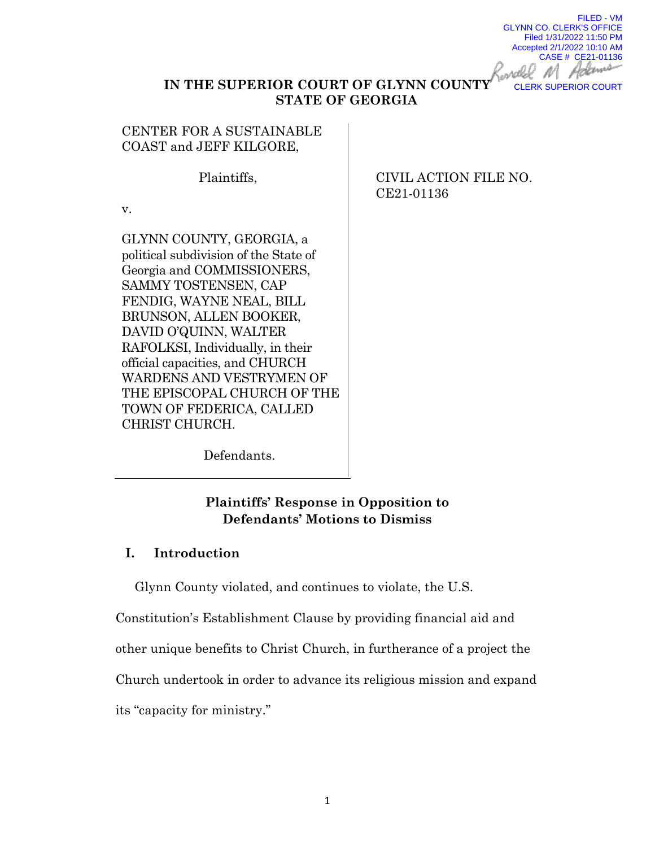FILED - VM GLYNN CO. CLERK'S OFFICE Filed 1/31/2022 11:50 PM Accepted 2/1/2022 10:10 AM CASE # CE21-01136 CLERK SUPERIOR COURT

### **IN THE SUPERIOR COURT OF GLYNN COUNTY STATE OF GEORGIA**

CENTER FOR A SUSTAINABLE COAST and JEFF KILGORE,

Plaintiffs,

v.

GLYNN COUNTY, GEORGIA, a political subdivision of the State of Georgia and COMMISSIONERS, SAMMY TOSTENSEN, CAP FENDIG, WAYNE NEAL, BILL BRUNSON, ALLEN BOOKER, DAVID O'QUINN, WALTER RAFOLKSI, Individually, in their official capacities, and CHURCH WARDENS AND VESTRYMEN OF THE EPISCOPAL CHURCH OF THE TOWN OF FEDERICA, CALLED CHRIST CHURCH.

CIVIL ACTION FILE NO. CE21-01136

Defendants.

# **Plaintiffs' Response in Opposition to Defendants' Motions to Dismiss**

## **I. Introduction**

Glynn County violated, and continues to violate, the U.S.

Constitution's Establishment Clause by providing financial aid and other unique benefits to Christ Church, in furtherance of a project the Church undertook in order to advance its religious mission and expand its "capacity for ministry."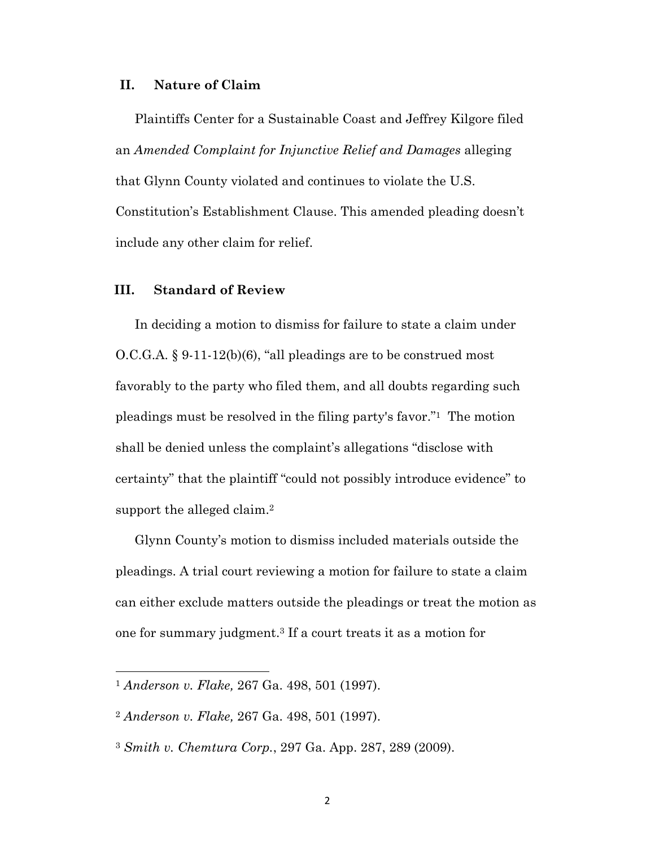#### **II. Nature of Claim**

Plaintiffs Center for a Sustainable Coast and Jeffrey Kilgore filed an *Amended Complaint for Injunctive Relief and Damages* alleging that Glynn County violated and continues to violate the U.S. Constitution's Establishment Clause. This amended pleading doesn't include any other claim for relief.

### **III. Standard of Review**

In deciding a motion to dismiss for failure to state a claim under O.C.G.A. § 9-11-12(b)(6), "all pleadings are to be construed most favorably to the party who filed them, and all doubts regarding such pleadings must be resolved in the filing party's favor."1 The motion shall be denied unless the complaint's allegations "disclose with certainty" that the plaintiff "could not possibly introduce evidence" to support the alleged claim.<sup>2</sup>

Glynn County's motion to dismiss included materials outside the pleadings. A trial court reviewing a motion for failure to state a claim can either exclude matters outside the pleadings or treat the motion as one for summary judgment.3 If a court treats it as a motion for

<sup>1</sup> *Anderson v. Flake,* 267 Ga. 498, 501 (1997).

<sup>2</sup> *Anderson v. Flake,* 267 Ga. 498, 501 (1997).

<sup>3</sup> *Smith v. Chemtura Corp.*, 297 Ga. App. 287, 289 (2009).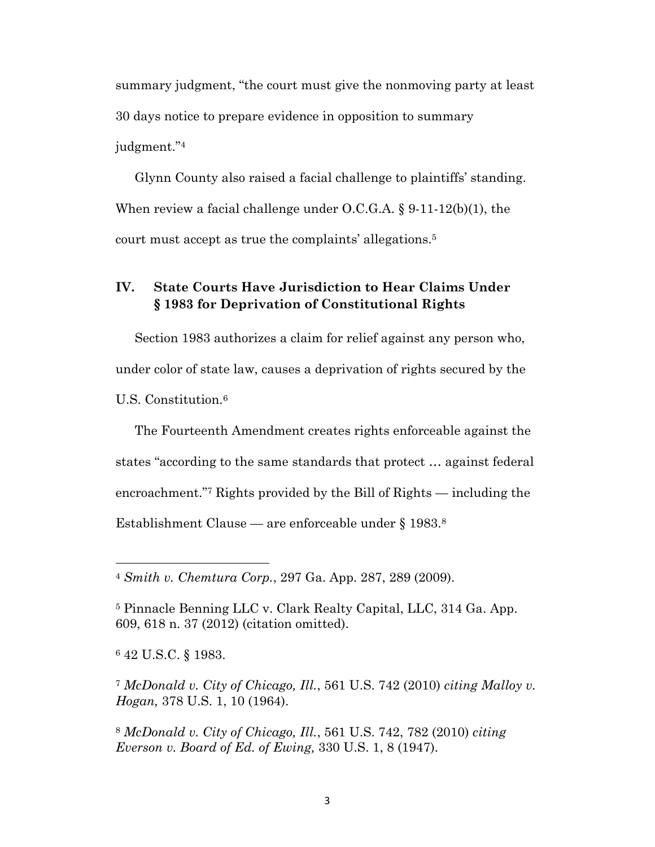summary judgment, "the court must give the nonmoving party at least 30 days notice to prepare evidence in opposition to summary judgment."4

Glynn County also raised a facial challenge to plaintiffs' standing. When review a facial challenge under O.C.G.A. § 9-11-12(b)(1), the court must accept as true the complaints' allegations.5

## **IV. State Courts Have Jurisdiction to Hear Claims Under § 1983 for Deprivation of Constitutional Rights**

Section 1983 authorizes a claim for relief against any person who, under color of state law, causes a deprivation of rights secured by the U.S. Constitution.6

The Fourteenth Amendment creates rights enforceable against the states "according to the same standards that protect … against federal encroachment."7 Rights provided by the Bill of Rights — including the Establishment Clause — are enforceable under § 1983.8

<sup>6</sup> 42 U.S.C. § 1983.

<sup>7</sup> *McDonald v. City of Chicago, Ill.*, 561 U.S. 742 (2010) *citing Malloy v. Hogan,* 378 U.S. 1, 10 (1964).

<sup>8</sup> *McDonald v. City of Chicago, Ill.*, 561 U.S. 742, 782 (2010) *citing Everson v. Board of Ed. of Ewing,* 330 U.S. 1, 8 (1947).

<sup>4</sup> *Smith v. Chemtura Corp.*, 297 Ga. App. 287, 289 (2009).

<sup>5</sup> Pinnacle Benning LLC v. Clark Realty Capital, LLC, 314 Ga. App. 609, 618 n. 37 (2012) (citation omitted).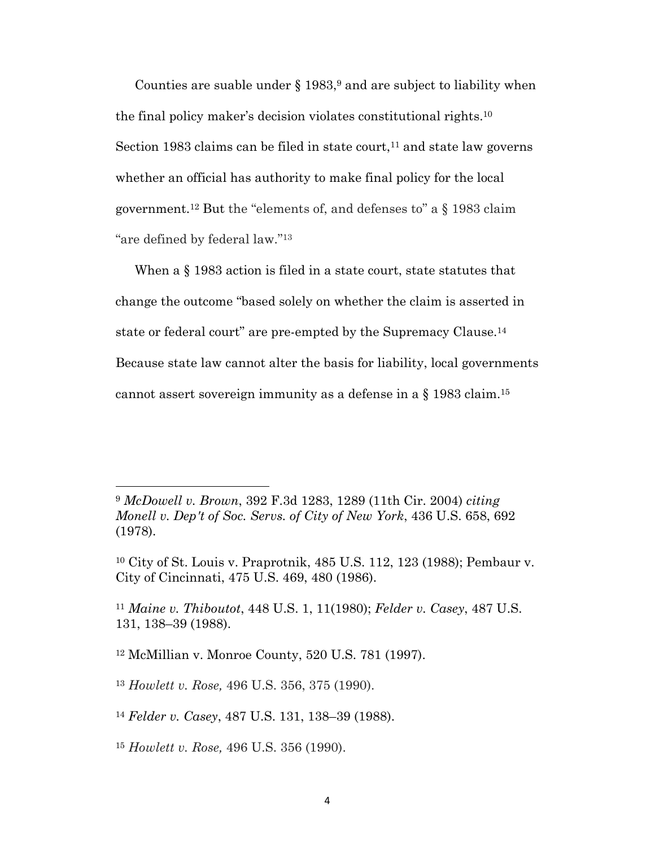Counties are suable under  $\S 1983$ , and are subject to liability when the final policy maker's decision violates constitutional rights.10 Section 1983 claims can be filed in state court,<sup>11</sup> and state law governs whether an official has authority to make final policy for the local government.12 But the "elements of, and defenses to" a § 1983 claim "are defined by federal law."13

When a § 1983 action is filed in a state court, state statutes that change the outcome "based solely on whether the claim is asserted in state or federal court" are pre-empted by the Supremacy Clause.14 Because state law cannot alter the basis for liability, local governments cannot assert sovereign immunity as a defense in a § 1983 claim.15

<sup>11</sup> *Maine v. Thiboutot*, 448 U.S. 1, 11(1980); *Felder v. Casey*, 487 U.S. 131, 138–39 (1988).

<sup>12</sup> McMillian v. Monroe County, 520 U.S. 781 (1997).

<sup>13</sup> *Howlett v. Rose,* 496 U.S. 356, 375 (1990).

<sup>14</sup> *Felder v. Casey*, 487 U.S. 131, 138–39 (1988).

<sup>15</sup> *Howlett v. Rose,* 496 U.S. 356 (1990).

<sup>9</sup> *McDowell v. Brown*, 392 F.3d 1283, 1289 (11th Cir. 2004) *citing Monell v. Dep't of Soc. Servs. of City of New York*, 436 U.S. 658, 692 (1978).

<sup>10</sup> City of St. Louis v. Praprotnik, 485 U.S. 112, 123 (1988); Pembaur v. City of Cincinnati, 475 U.S. 469, 480 (1986).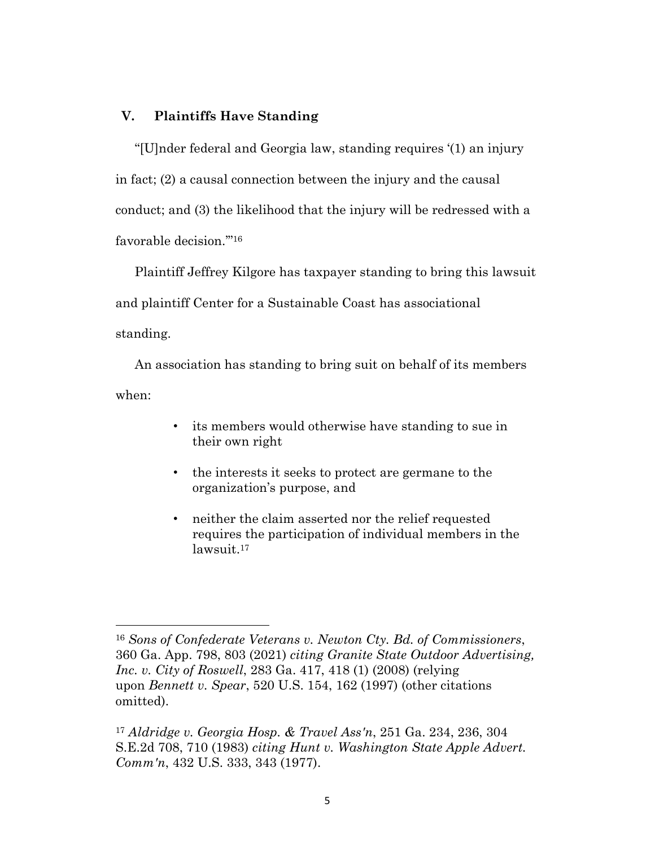### **V. Plaintiffs Have Standing**

"[U]nder federal and Georgia law, standing requires '(1) an injury in fact; (2) a causal connection between the injury and the causal conduct; and (3) the likelihood that the injury will be redressed with a favorable decision.'"16

Plaintiff Jeffrey Kilgore has taxpayer standing to bring this lawsuit and plaintiff Center for a Sustainable Coast has associational standing.

An association has standing to bring suit on behalf of its members when:

- its members would otherwise have standing to sue in their own right
- the interests it seeks to protect are germane to the organization's purpose, and
- neither the claim asserted nor the relief requested requires the participation of individual members in the lawsuit.17

<sup>16</sup> *Sons of Confederate Veterans v. Newton Cty. Bd. of Commissioners*, 360 Ga. App. 798, 803 (2021) *citing Granite State Outdoor Advertising, Inc. v. City of Roswell*, 283 Ga. 417, 418 (1) (2008) (relying upon *Bennett v. Spear*, 520 U.S. 154, 162 (1997) (other citations omitted).

<sup>17</sup> *Aldridge v. Georgia Hosp. & Travel Ass'n*, 251 Ga. 234, 236, 304 S.E.2d 708, 710 (1983) *citing Hunt v. Washington State Apple Advert. Comm'n*, 432 U.S. 333, 343 (1977).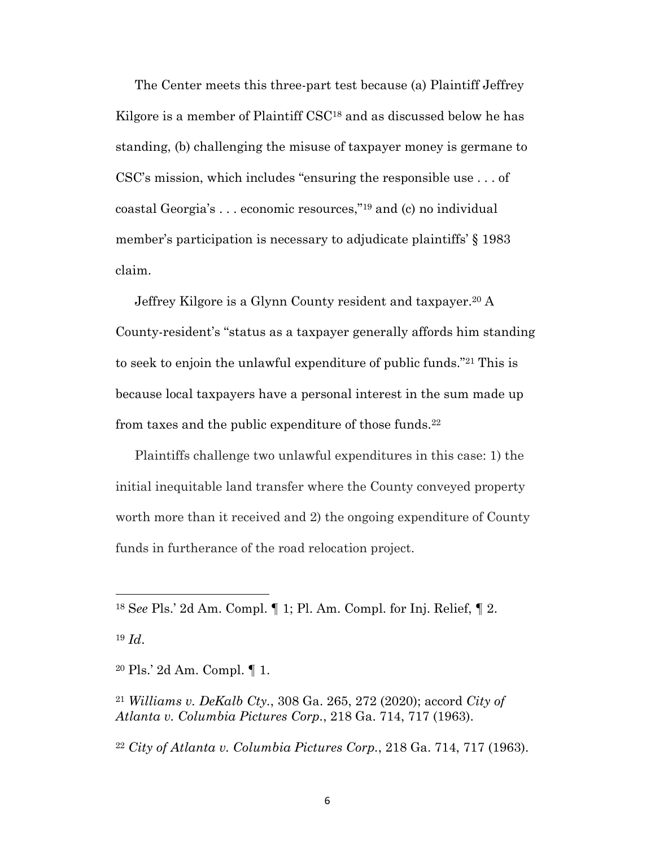The Center meets this three-part test because (a) Plaintiff Jeffrey Kilgore is a member of Plaintiff CSC<sup>18</sup> and as discussed below he has standing, (b) challenging the misuse of taxpayer money is germane to CSC's mission, which includes "ensuring the responsible use . . . of coastal Georgia's . . . economic resources,"19 and (c) no individual member's participation is necessary to adjudicate plaintiffs' § 1983 claim.

Jeffrey Kilgore is a Glynn County resident and taxpayer.20 A County-resident's "status as a taxpayer generally affords him standing to seek to enjoin the unlawful expenditure of public funds."21 This is because local taxpayers have a personal interest in the sum made up from taxes and the public expenditure of those funds.22

Plaintiffs challenge two unlawful expenditures in this case: 1) the initial inequitable land transfer where the County conveyed property worth more than it received and 2) the ongoing expenditure of County funds in furtherance of the road relocation project.

<sup>18</sup> S*ee* Pls.' 2d Am. Compl. ¶ 1; Pl. Am. Compl. for Inj. Relief, ¶ 2.

<sup>19</sup> *Id*.

<sup>20</sup> Pls.' 2d Am. Compl. ¶ 1.

<sup>21</sup> *Williams v. DeKalb Cty.*, 308 Ga. 265, 272 (2020); accord *City of Atlanta v. Columbia Pictures Corp.*, 218 Ga. 714, 717 (1963).

<sup>22</sup> *City of Atlanta v. Columbia Pictures Corp.*, 218 Ga. 714, 717 (1963).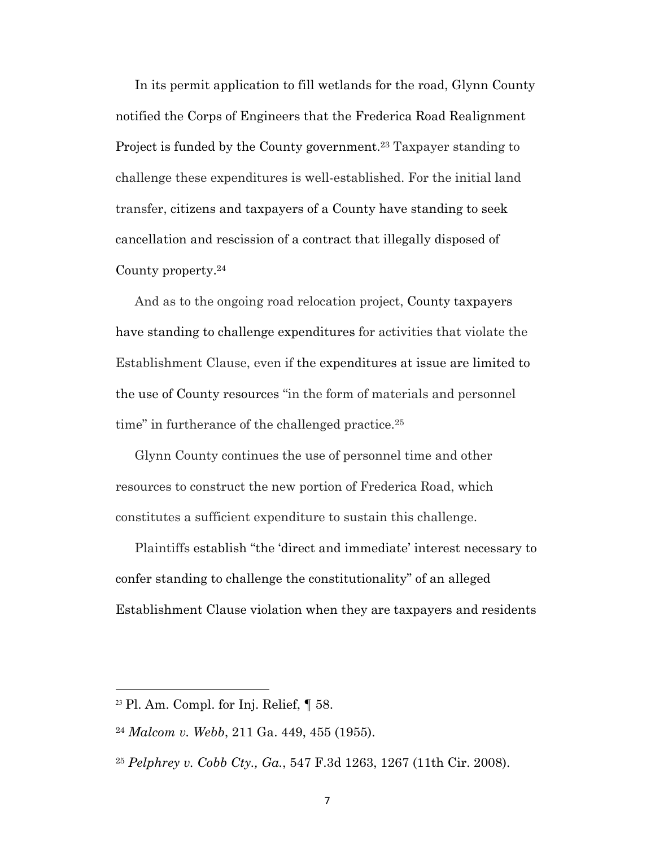In its permit application to fill wetlands for the road, Glynn County notified the Corps of Engineers that the Frederica Road Realignment Project is funded by the County government.<sup>23</sup> Taxpayer standing to challenge these expenditures is well-established. For the initial land transfer, citizens and taxpayers of a County have standing to seek cancellation and rescission of a contract that illegally disposed of County property.24

And as to the ongoing road relocation project, County taxpayers have standing to challenge expenditures for activities that violate the Establishment Clause, even if the expenditures at issue are limited to the use of County resources "in the form of materials and personnel time" in furtherance of the challenged practice.<sup>25</sup>

Glynn County continues the use of personnel time and other resources to construct the new portion of Frederica Road, which constitutes a sufficient expenditure to sustain this challenge.

Plaintiffs establish "the 'direct and immediate' interest necessary to confer standing to challenge the constitutionality" of an alleged Establishment Clause violation when they are taxpayers and residents

 $23$  Pl. Am. Compl. for Inj. Relief,  $\P$  58.

<sup>24</sup> *Malcom v. Webb*, 211 Ga. 449, 455 (1955).

<sup>25</sup> *Pelphrey v. Cobb Cty., Ga.*, 547 F.3d 1263, 1267 (11th Cir. 2008).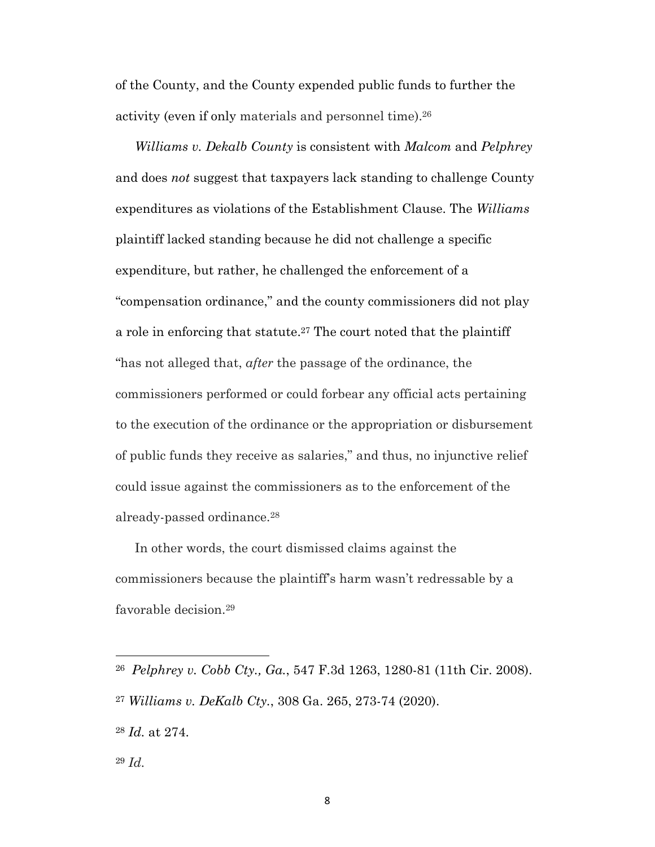of the County, and the County expended public funds to further the activity (even if only materials and personnel time).26

*Williams v. Dekalb County* is consistent with *Malcom* and *Pelphrey* and does *not* suggest that taxpayers lack standing to challenge County expenditures as violations of the Establishment Clause. The *Williams* plaintiff lacked standing because he did not challenge a specific expenditure, but rather, he challenged the enforcement of a "compensation ordinance," and the county commissioners did not play a role in enforcing that statute.27 The court noted that the plaintiff "has not alleged that, *after* the passage of the ordinance, the commissioners performed or could forbear any official acts pertaining to the execution of the ordinance or the appropriation or disbursement of public funds they receive as salaries," and thus, no injunctive relief could issue against the commissioners as to the enforcement of the already-passed ordinance.28

In other words, the court dismissed claims against the commissioners because the plaintiff's harm wasn't redressable by a favorable decision.29

<sup>26</sup> *Pelphrey v. Cobb Cty., Ga.*, 547 F.3d 1263, 1280-81 (11th Cir. 2008). <sup>27</sup> *Williams v. DeKalb Cty.*, 308 Ga. 265, 273-74 (2020).

<sup>28</sup> *Id.* at 274.

<sup>29</sup> *Id.*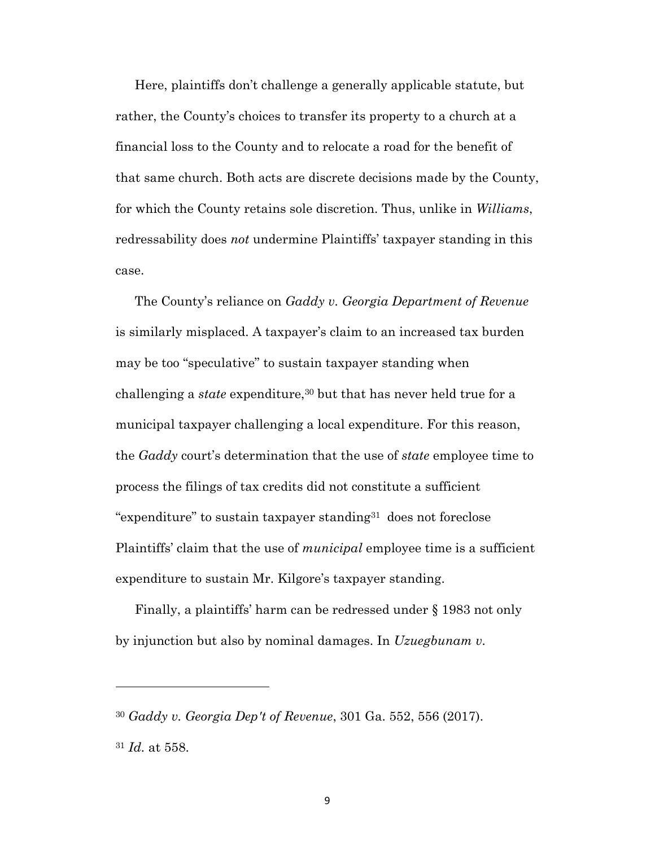Here, plaintiffs don't challenge a generally applicable statute, but rather, the County's choices to transfer its property to a church at a financial loss to the County and to relocate a road for the benefit of that same church. Both acts are discrete decisions made by the County, for which the County retains sole discretion. Thus, unlike in *Williams*, redressability does *not* undermine Plaintiffs' taxpayer standing in this case.

The County's reliance on *Gaddy v. Georgia Department of Revenue* is similarly misplaced. A taxpayer's claim to an increased tax burden may be too "speculative" to sustain taxpayer standing when challenging a *state* expenditure,<sup>30</sup> but that has never held true for a municipal taxpayer challenging a local expenditure. For this reason, the *Gaddy* court's determination that the use of *state* employee time to process the filings of tax credits did not constitute a sufficient "expenditure" to sustain taxpayer standing31 does not foreclose Plaintiffs' claim that the use of *municipal* employee time is a sufficient expenditure to sustain Mr. Kilgore's taxpayer standing.

Finally, a plaintiffs' harm can be redressed under § 1983 not only by injunction but also by nominal damages. In *Uzuegbunam v.* 

<sup>30</sup> *Gaddy v. Georgia Dep't of Revenue*, 301 Ga. 552, 556 (2017).

<sup>31</sup> *Id.* at 558.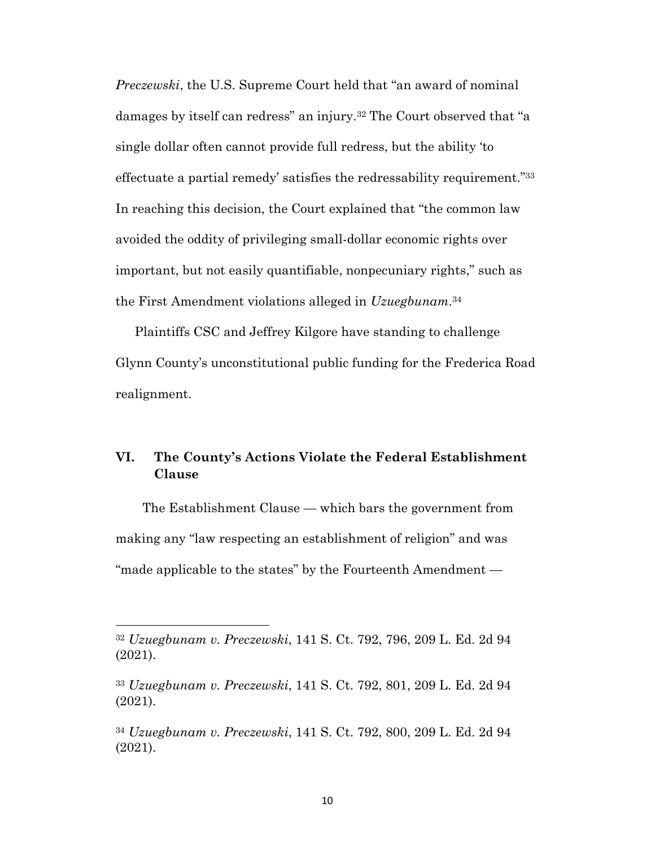*Preczewski*, the U.S. Supreme Court held that "an award of nominal damages by itself can redress" an injury.32 The Court observed that "a single dollar often cannot provide full redress, but the ability 'to effectuate a partial remedy' satisfies the redressability requirement."33 In reaching this decision, the Court explained that "the common law avoided the oddity of privileging small-dollar economic rights over important, but not easily quantifiable, nonpecuniary rights," such as the First Amendment violations alleged in *Uzuegbunam*.34

Plaintiffs CSC and Jeffrey Kilgore have standing to challenge Glynn County's unconstitutional public funding for the Frederica Road realignment.

# **VI. The County's Actions Violate the Federal Establishment Clause**

The Establishment Clause — which bars the government from making any "law respecting an establishment of religion" and was "made applicable to the states" by the Fourteenth Amendment —

<sup>32</sup> *Uzuegbunam v. Preczewski*, 141 S. Ct. 792, 796, 209 L. Ed. 2d 94 (2021).

<sup>33</sup> *Uzuegbunam v. Preczewski*, 141 S. Ct. 792, 801, 209 L. Ed. 2d 94 (2021).

<sup>34</sup> *Uzuegbunam v. Preczewski*, 141 S. Ct. 792, 800, 209 L. Ed. 2d 94 (2021).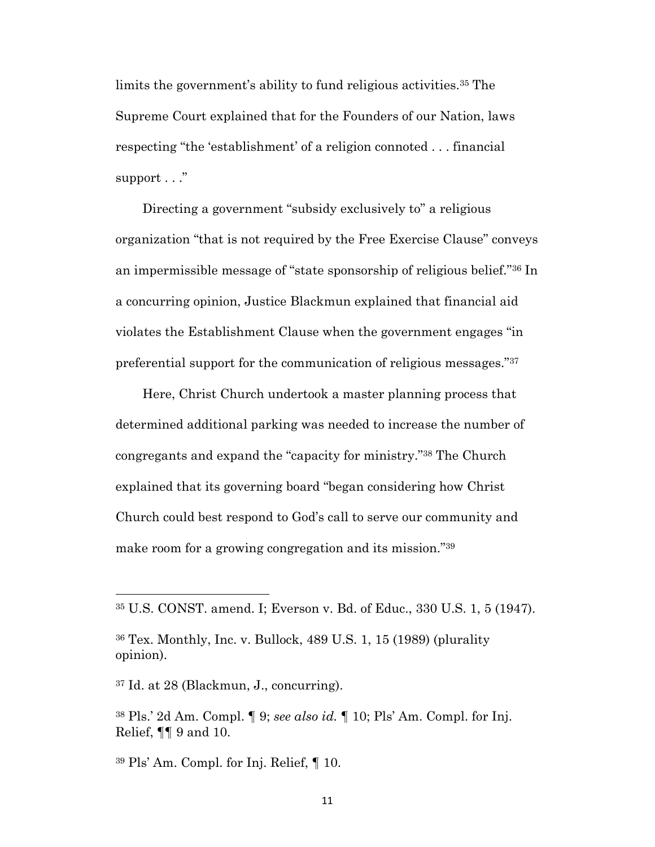limits the government's ability to fund religious activities.35 The Supreme Court explained that for the Founders of our Nation, laws respecting "the 'establishment' of a religion connoted . . . financial support . . ."

Directing a government "subsidy exclusively to" a religious organization "that is not required by the Free Exercise Clause" conveys an impermissible message of "state sponsorship of religious belief."36 In a concurring opinion, Justice Blackmun explained that financial aid violates the Establishment Clause when the government engages "in preferential support for the communication of religious messages."37

Here, Christ Church undertook a master planning process that determined additional parking was needed to increase the number of congregants and expand the "capacity for ministry."38 The Church explained that its governing board "began considering how Christ Church could best respond to God's call to serve our community and make room for a growing congregation and its mission."39

<sup>35</sup> U.S. CONST. amend. I; Everson v. Bd. of Educ., 330 U.S. 1, 5 (1947).

<sup>36</sup> Tex. Monthly, Inc. v. Bullock, 489 U.S. 1, 15 (1989) (plurality opinion).

<sup>37</sup> Id. at 28 (Blackmun, J., concurring).

<sup>38</sup> Pls.' 2d Am. Compl. ¶ 9; *see also id.* ¶ 10; Pls' Am. Compl. for Inj. Relief, ¶¶ 9 and 10.

<sup>39</sup> Pls' Am. Compl. for Inj. Relief, ¶ 10.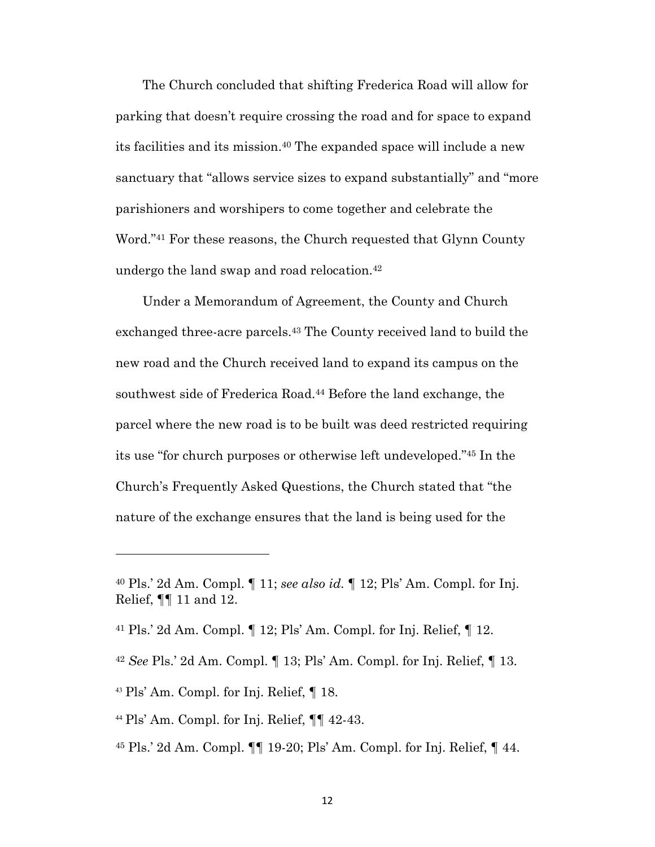The Church concluded that shifting Frederica Road will allow for parking that doesn't require crossing the road and for space to expand its facilities and its mission.40 The expanded space will include a new sanctuary that "allows service sizes to expand substantially" and "more parishioners and worshipers to come together and celebrate the Word."41 For these reasons, the Church requested that Glynn County undergo the land swap and road relocation.42

Under a Memorandum of Agreement, the County and Church exchanged three-acre parcels.43 The County received land to build the new road and the Church received land to expand its campus on the southwest side of Frederica Road.<sup>44</sup> Before the land exchange, the parcel where the new road is to be built was deed restricted requiring its use "for church purposes or otherwise left undeveloped."45 In the Church's Frequently Asked Questions, the Church stated that "the nature of the exchange ensures that the land is being used for the

- <sup>42</sup> *See* Pls.' 2d Am. Compl. ¶ 13; Pls' Am. Compl. for Inj. Relief, ¶ 13.
- <sup>43</sup> Pls' Am. Compl. for Inj. Relief, ¶ 18.
- <sup>44</sup> Pls' Am. Compl. for Inj. Relief,  $\P\P$  42-43.
- <sup>45</sup> Pls.' 2d Am. Compl. ¶¶ 19-20; Pls' Am. Compl. for Inj. Relief, ¶ 44.

<sup>40</sup> Pls.' 2d Am. Compl. ¶ 11; *see also id.* ¶ 12; Pls' Am. Compl. for Inj. Relief, ¶¶ 11 and 12.

<sup>41</sup> Pls.' 2d Am. Compl. ¶ 12; Pls' Am. Compl. for Inj. Relief, ¶ 12.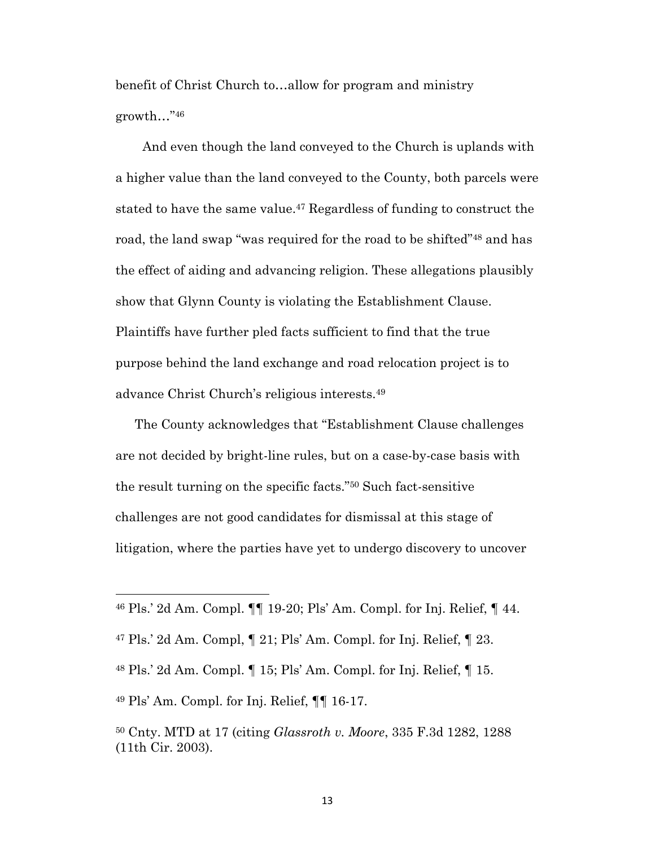benefit of Christ Church to…allow for program and ministry growth…"46

And even though the land conveyed to the Church is uplands with a higher value than the land conveyed to the County, both parcels were stated to have the same value.47 Regardless of funding to construct the road, the land swap "was required for the road to be shifted"48 and has the effect of aiding and advancing religion. These allegations plausibly show that Glynn County is violating the Establishment Clause. Plaintiffs have further pled facts sufficient to find that the true purpose behind the land exchange and road relocation project is to advance Christ Church's religious interests.49

The County acknowledges that "Establishment Clause challenges are not decided by bright-line rules, but on a case-by-case basis with the result turning on the specific facts."50 Such fact-sensitive challenges are not good candidates for dismissal at this stage of litigation, where the parties have yet to undergo discovery to uncover

<sup>46</sup> Pls.' 2d Am. Compl. ¶¶ 19-20; Pls' Am. Compl. for Inj. Relief, ¶ 44.

 $47$  Pls.' 2d Am. Compl,  $\P$  21; Pls' Am. Compl. for Inj. Relief,  $\P$  23.

<sup>48</sup> Pls.' 2d Am. Compl. ¶ 15; Pls' Am. Compl. for Inj. Relief, ¶ 15.

<sup>49</sup> Pls' Am. Compl. for Inj. Relief, ¶¶ 16-17.

<sup>50</sup> Cnty. MTD at 17 (citing *Glassroth v. Moore*, 335 F.3d 1282, 1288 (11th Cir. 2003).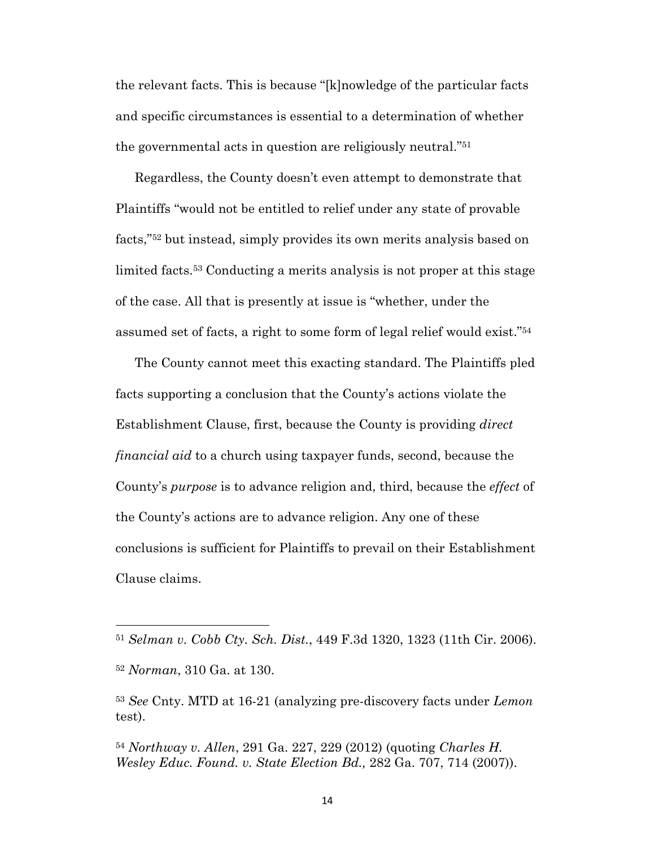the relevant facts. This is because "[k]nowledge of the particular facts and specific circumstances is essential to a determination of whether the governmental acts in question are religiously neutral."51

Regardless, the County doesn't even attempt to demonstrate that Plaintiffs "would not be entitled to relief under any state of provable facts,"52 but instead, simply provides its own merits analysis based on limited facts.53 Conducting a merits analysis is not proper at this stage of the case. All that is presently at issue is "whether, under the assumed set of facts, a right to some form of legal relief would exist."54

The County cannot meet this exacting standard. The Plaintiffs pled facts supporting a conclusion that the County's actions violate the Establishment Clause, first, because the County is providing *direct financial aid* to a church using taxpayer funds, second, because the County's *purpose* is to advance religion and, third, because the *effect* of the County's actions are to advance religion. Any one of these conclusions is sufficient for Plaintiffs to prevail on their Establishment Clause claims.

<sup>51</sup> *Selman v. Cobb Cty. Sch. Dist.*, 449 F.3d 1320, 1323 (11th Cir. 2006).

<sup>52</sup> *Norman*, 310 Ga. at 130.

<sup>53</sup> *See* Cnty. MTD at 16-21 (analyzing pre-discovery facts under *Lemon* test).

<sup>54</sup> *Northway v. Allen*, 291 Ga. 227, 229 (2012) (quoting *Charles H. Wesley Educ. Found. v. State Election Bd.,* 282 Ga. 707, 714 (2007)).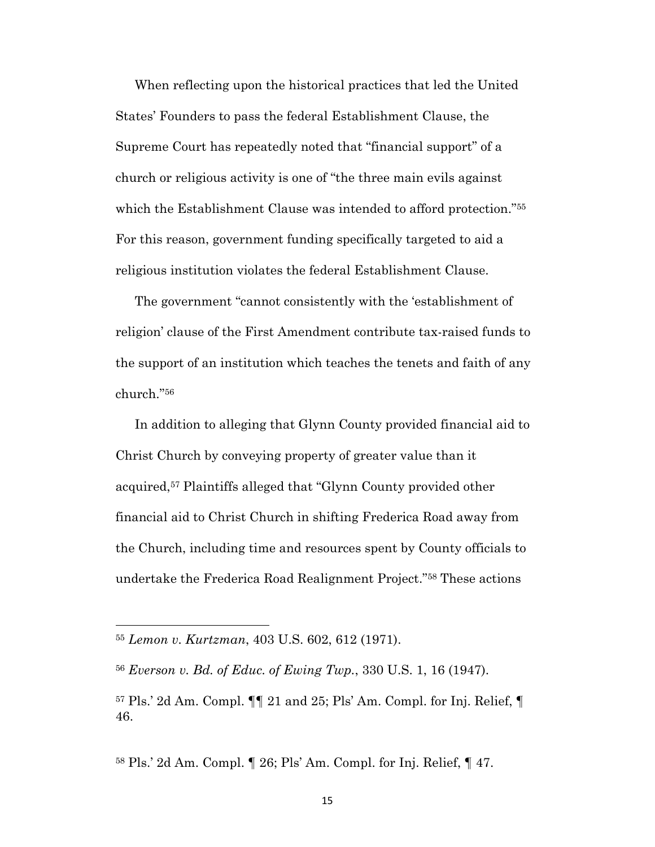When reflecting upon the historical practices that led the United States' Founders to pass the federal Establishment Clause, the Supreme Court has repeatedly noted that "financial support" of a church or religious activity is one of "the three main evils against which the Establishment Clause was intended to afford protection."55 For this reason, government funding specifically targeted to aid a religious institution violates the federal Establishment Clause.

The government "cannot consistently with the 'establishment of religion' clause of the First Amendment contribute tax-raised funds to the support of an institution which teaches the tenets and faith of any church."56

In addition to alleging that Glynn County provided financial aid to Christ Church by conveying property of greater value than it acquired,57 Plaintiffs alleged that "Glynn County provided other financial aid to Christ Church in shifting Frederica Road away from the Church, including time and resources spent by County officials to undertake the Frederica Road Realignment Project."58 These actions

<sup>58</sup> Pls.' 2d Am. Compl. ¶ 26; Pls' Am. Compl. for Inj. Relief, ¶ 47.

<sup>55</sup> *Lemon v. Kurtzman*, 403 U.S. 602, 612 (1971).

<sup>56</sup> *Everson v. Bd. of Educ. of Ewing Twp.*, 330 U.S. 1, 16 (1947).

 $57$  Pls.' 2d Am. Compl.  $\P\P$  21 and 25; Pls' Am. Compl. for Inj. Relief,  $\P$ 46.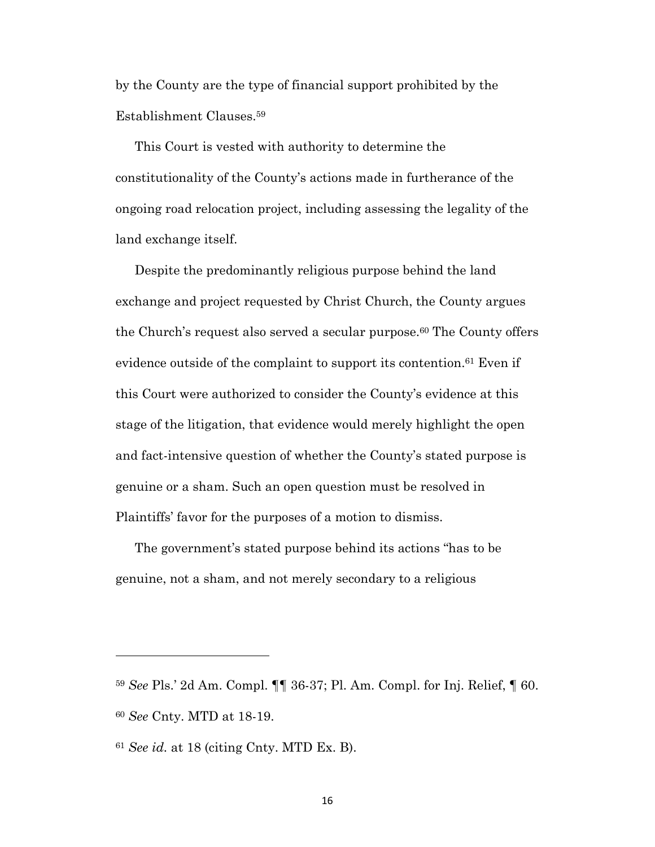by the County are the type of financial support prohibited by the Establishment Clauses.59

This Court is vested with authority to determine the constitutionality of the County's actions made in furtherance of the ongoing road relocation project, including assessing the legality of the land exchange itself.

Despite the predominantly religious purpose behind the land exchange and project requested by Christ Church, the County argues the Church's request also served a secular purpose.<sup>60</sup> The County offers evidence outside of the complaint to support its contention.<sup>61</sup> Even if this Court were authorized to consider the County's evidence at this stage of the litigation, that evidence would merely highlight the open and fact-intensive question of whether the County's stated purpose is genuine or a sham. Such an open question must be resolved in Plaintiffs' favor for the purposes of a motion to dismiss.

The government's stated purpose behind its actions "has to be genuine, not a sham, and not merely secondary to a religious

16

<sup>59</sup> *See* Pls.' 2d Am. Compl. ¶¶ 36-37; Pl. Am. Compl. for Inj. Relief, ¶ 60. <sup>60</sup> *See* Cnty. MTD at 18-19.

<sup>61</sup> *See id.* at 18 (citing Cnty. MTD Ex. B).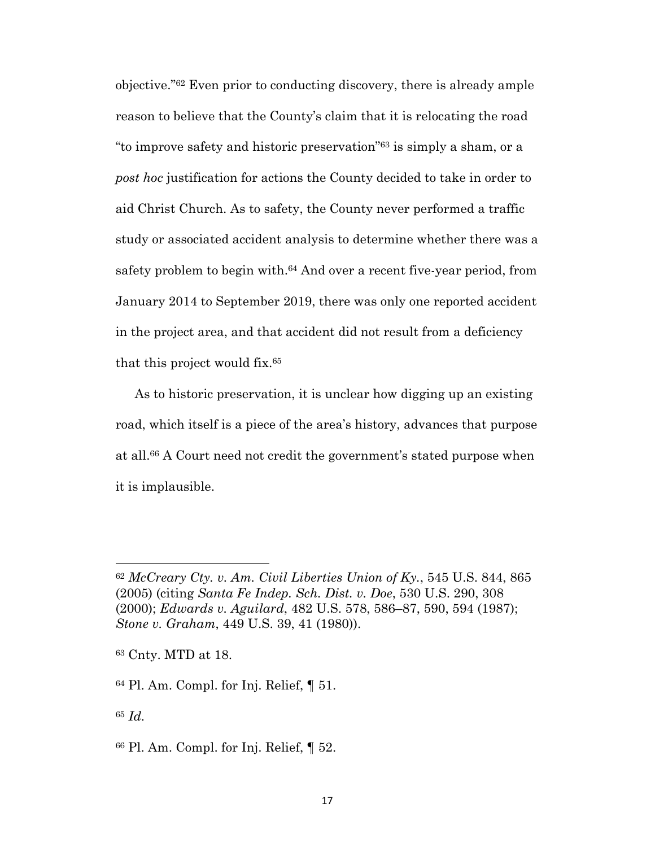objective."62 Even prior to conducting discovery, there is already ample reason to believe that the County's claim that it is relocating the road "to improve safety and historic preservation"63 is simply a sham, or a *post hoc* justification for actions the County decided to take in order to aid Christ Church. As to safety, the County never performed a traffic study or associated accident analysis to determine whether there was a safety problem to begin with.64 And over a recent five-year period, from January 2014 to September 2019, there was only one reported accident in the project area, and that accident did not result from a deficiency that this project would fix.65

As to historic preservation, it is unclear how digging up an existing road, which itself is a piece of the area's history, advances that purpose at all.66 A Court need not credit the government's stated purpose when it is implausible.

<sup>62</sup> *McCreary Cty. v. Am. Civil Liberties Union of Ky.*, 545 U.S. 844, 865 (2005) (citing *Santa Fe Indep. Sch. Dist. v. Doe*, 530 U.S. 290, 308 (2000); *Edwards v. Aguilard*, 482 U.S. 578, 586–87, 590, 594 (1987); *Stone v. Graham*, 449 U.S. 39, 41 (1980)).

<sup>63</sup> Cnty. MTD at 18.

<sup>64</sup> Pl. Am. Compl. for Inj. Relief, ¶ 51.

<sup>65</sup> *Id.*

<sup>66</sup> Pl. Am. Compl. for Inj. Relief, ¶ 52.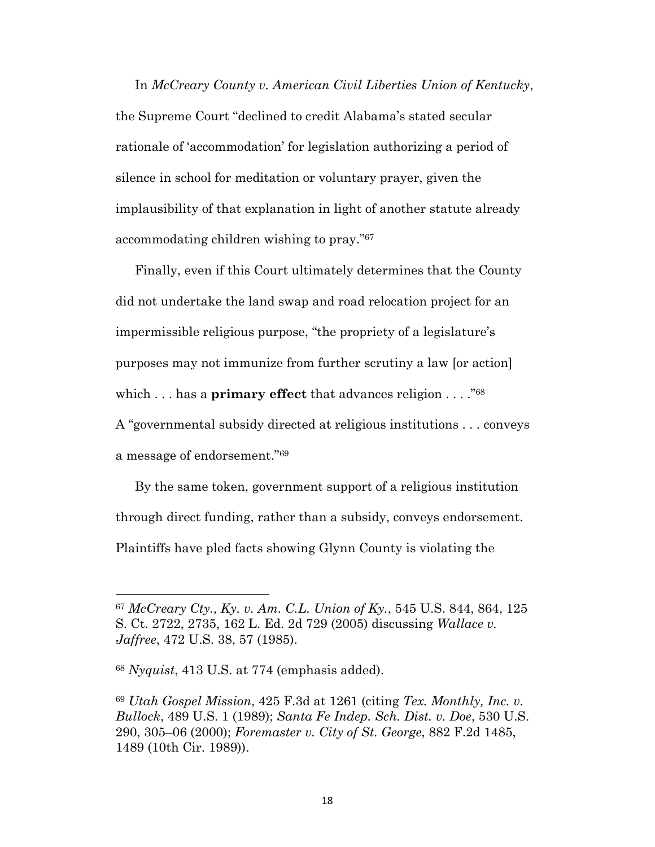In *McCreary County v. American Civil Liberties Union of Kentucky*, the Supreme Court "declined to credit Alabama's stated secular rationale of 'accommodation' for legislation authorizing a period of silence in school for meditation or voluntary prayer, given the implausibility of that explanation in light of another statute already accommodating children wishing to pray."67

Finally, even if this Court ultimately determines that the County did not undertake the land swap and road relocation project for an impermissible religious purpose, "the propriety of a legislature's purposes may not immunize from further scrutiny a law [or action] which . . . has a **primary effect** that advances religion . . . . "<sup>68</sup> A "governmental subsidy directed at religious institutions . . . conveys a message of endorsement."69

By the same token, government support of a religious institution through direct funding, rather than a subsidy, conveys endorsement. Plaintiffs have pled facts showing Glynn County is violating the

<sup>67</sup> *McCreary Cty., Ky. v. Am. C.L. Union of Ky.*, 545 U.S. 844, 864, 125 S. Ct. 2722, 2735, 162 L. Ed. 2d 729 (2005) discussing *Wallace v. Jaffree*, 472 U.S. 38, 57 (1985).

<sup>68</sup> *Nyquist*, 413 U.S. at 774 (emphasis added).

<sup>69</sup> *Utah Gospel Mission*, 425 F.3d at 1261 (citing *Tex. Monthly, Inc. v. Bullock*, 489 U.S. 1 (1989); *Santa Fe Indep. Sch. Dist. v. Doe*, 530 U.S. 290, 305–06 (2000); *Foremaster v. City of St. George*, 882 F.2d 1485, 1489 (10th Cir. 1989)).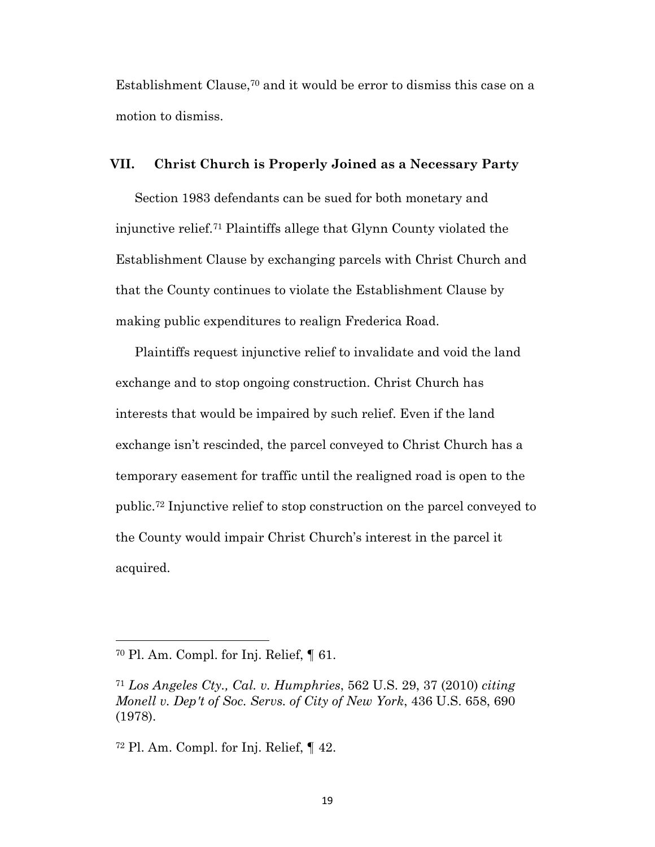Establishment Clause,70 and it would be error to dismiss this case on a motion to dismiss.

#### **VII. Christ Church is Properly Joined as a Necessary Party**

Section 1983 defendants can be sued for both monetary and injunctive relief.71 Plaintiffs allege that Glynn County violated the Establishment Clause by exchanging parcels with Christ Church and that the County continues to violate the Establishment Clause by making public expenditures to realign Frederica Road.

Plaintiffs request injunctive relief to invalidate and void the land exchange and to stop ongoing construction. Christ Church has interests that would be impaired by such relief. Even if the land exchange isn't rescinded, the parcel conveyed to Christ Church has a temporary easement for traffic until the realigned road is open to the public.72 Injunctive relief to stop construction on the parcel conveyed to the County would impair Christ Church's interest in the parcel it acquired.

<sup>70</sup> Pl. Am. Compl. for Inj. Relief, ¶ 61.

<sup>71</sup> *Los Angeles Cty., Cal. v. Humphries*, 562 U.S. 29, 37 (2010) *citing Monell v. Dep't of Soc. Servs. of City of New York*, 436 U.S. 658, 690 (1978).

<sup>72</sup> Pl. Am. Compl. for Inj. Relief, ¶ 42.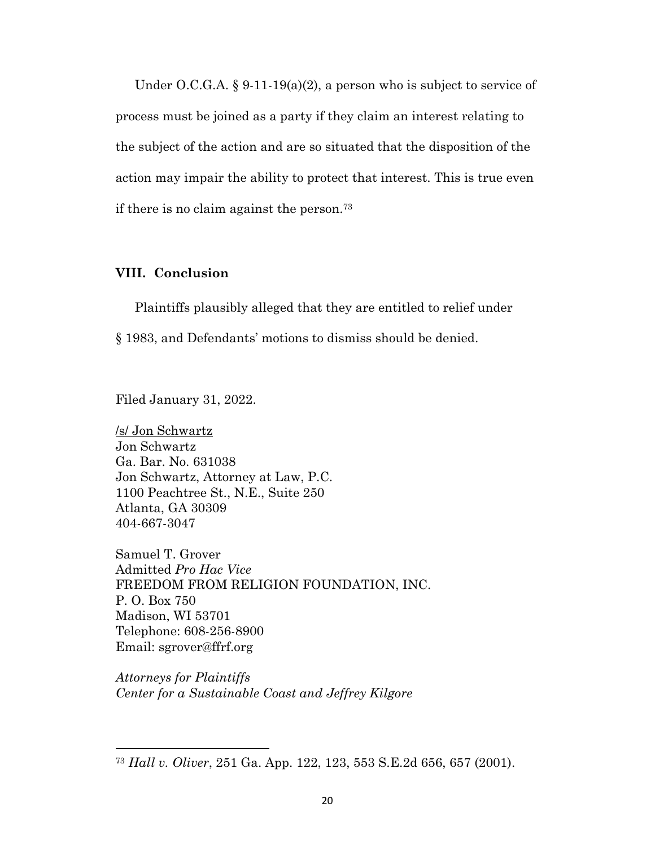Under O.C.G.A.  $\S 9-11-19(a)(2)$ , a person who is subject to service of process must be joined as a party if they claim an interest relating to the subject of the action and are so situated that the disposition of the action may impair the ability to protect that interest. This is true even if there is no claim against the person.73

### **VIII. Conclusion**

Plaintiffs plausibly alleged that they are entitled to relief under § 1983, and Defendants' motions to dismiss should be denied.

Filed January 31, 2022.

/s/ Jon Schwartz Jon Schwartz Ga. Bar. No. 631038 Jon Schwartz, Attorney at Law, P.C. 1100 Peachtree St., N.E., Suite 250 Atlanta, GA 30309 404-667-3047

Samuel T. Grover Admitted *Pro Hac Vice* FREEDOM FROM RELIGION FOUNDATION, INC. P. O. Box 750 Madison, WI 53701 Telephone: 608-256-8900 Email: sgrover@ffrf.org

*Attorneys for Plaintiffs Center for a Sustainable Coast and Jeffrey Kilgore*

<sup>73</sup> *Hall v. Oliver*, 251 Ga. App. 122, 123, 553 S.E.2d 656, 657 (2001).